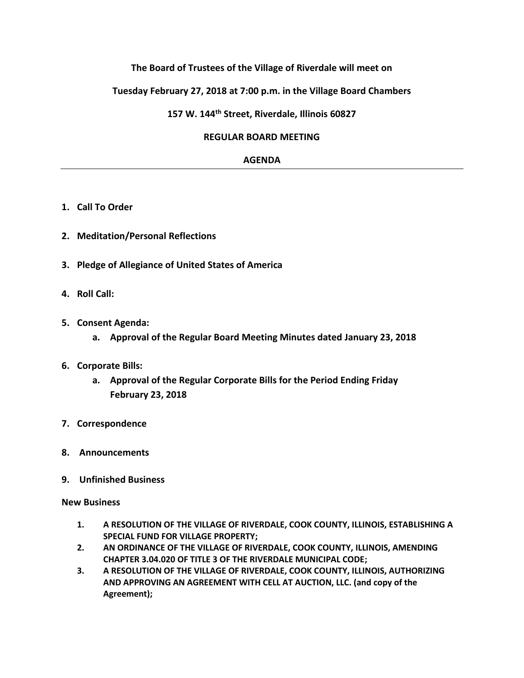### **The Board of Trustees of the Village of Riverdale will meet on**

### **Tuesday February 27, 2018 at 7:00 p.m. in the Village Board Chambers**

### **157 W. 144th Street, Riverdale, Illinois 60827**

#### **REGULAR BOARD MEETING**

#### **AGENDA**

- **1. Call To Order**
- **2. Meditation/Personal Reflections**
- **3. Pledge of Allegiance of United States of America**
- **4. Roll Call:**
- **5. Consent Agenda:**
	- **a. Approval of the Regular Board Meeting Minutes dated January 23, 2018**
- **6. Corporate Bills:**
	- **a. Approval of the Regular Corporate Bills for the Period Ending Friday February 23, 2018**
- **7. Correspondence**
- **8. Announcements**
- **9. Unfinished Business**

#### **New Business**

- **1. A RESOLUTION OF THE VILLAGE OF RIVERDALE, COOK COUNTY, ILLINOIS, ESTABLISHING A SPECIAL FUND FOR VILLAGE PROPERTY;**
- **2. AN ORDINANCE OF THE VILLAGE OF RIVERDALE, COOK COUNTY, ILLINOIS, AMENDING CHAPTER 3.04.020 OF TITLE 3 OF THE RIVERDALE MUNICIPAL CODE;**
- **3. A RESOLUTION OF THE VILLAGE OF RIVERDALE, COOK COUNTY, ILLINOIS, AUTHORIZING AND APPROVING AN AGREEMENT WITH CELL AT AUCTION, LLC. (and copy of the Agreement);**